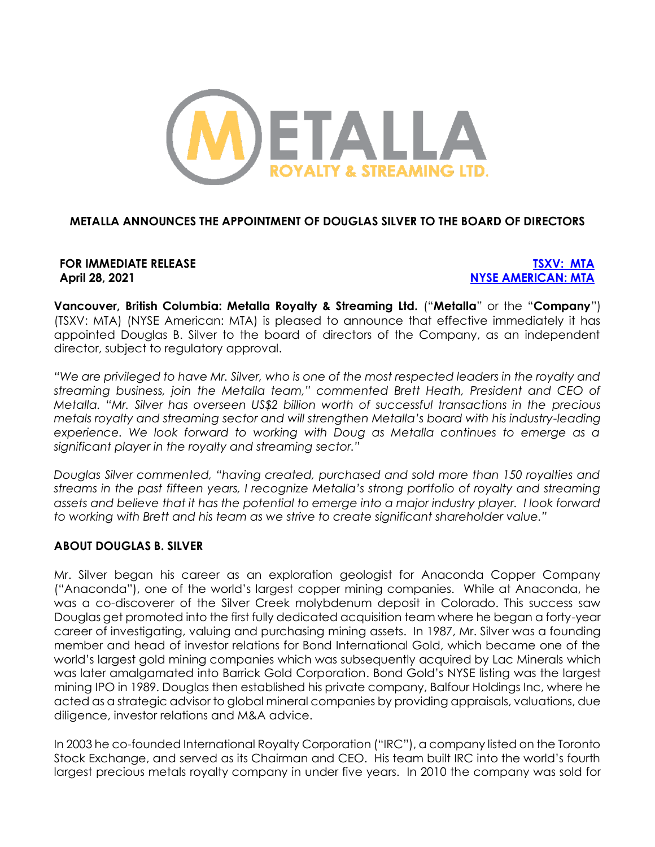

## **METALLA ANNOUNCES THE APPOINTMENT OF DOUGLAS SILVER TO THE BOARD OF DIRECTORS**

**FOR IMMEDIATE RELEASE [TSXV: MTA](https://money.tmx.com/en/quote/MTA) April 28, 2021 [NYSE AMERICAN: MTA](https://www.nyse.com/quote/XASE:MTA)**

**Vancouver, British Columbia: Metalla Royalty & Streaming Ltd.** ("**Metalla**" or the "**Company**") (TSXV: MTA) (NYSE American: MTA) is pleased to announce that effective immediately it has appointed Douglas B. Silver to the board of directors of the Company, as an independent director, subject to regulatory approval.

*"We are privileged to have Mr. Silver, who is one of the most respected leaders in the royalty and streaming business, join the Metalla team," commented Brett Heath, President and CEO of Metalla. "Mr. Silver has overseen US\$2 billion worth of successful transactions in the precious metals royalty and streaming sector and will strengthen Metalla's board with his industry-leading experience. We look forward to working with Doug as Metalla continues to emerge as a significant player in the royalty and streaming sector."*

*Douglas Silver commented, "having created, purchased and sold more than 150 royalties and streams in the past fifteen years, I recognize Metalla's strong portfolio of royalty and streaming assets and believe that it has the potential to emerge into a major industry player. I look forward to working with Brett and his team as we strive to create significant shareholder value."* 

#### **ABOUT DOUGLAS B. SILVER**

Mr. Silver began his career as an exploration geologist for Anaconda Copper Company ("Anaconda"), one of the world's largest copper mining companies. While at Anaconda, he was a co-discoverer of the Silver Creek molybdenum deposit in Colorado. This success saw Douglas get promoted into the first fully dedicated acquisition team where he began a forty-year career of investigating, valuing and purchasing mining assets. In 1987, Mr. Silver was a founding member and head of investor relations for Bond International Gold, which became one of the world's largest gold mining companies which was subsequently acquired by Lac Minerals which was later amalgamated into Barrick Gold Corporation. Bond Gold's NYSE listing was the largest mining IPO in 1989. Douglas then established his private company, Balfour Holdings Inc, where he acted as a strategic advisor to global mineral companies by providing appraisals, valuations, due diligence, investor relations and M&A advice.

In 2003 he co-founded International Royalty Corporation ("IRC"), a company listed on the Toronto Stock Exchange, and served as its Chairman and CEO. His team built IRC into the world's fourth largest precious metals royalty company in under five years. In 2010 the company was sold for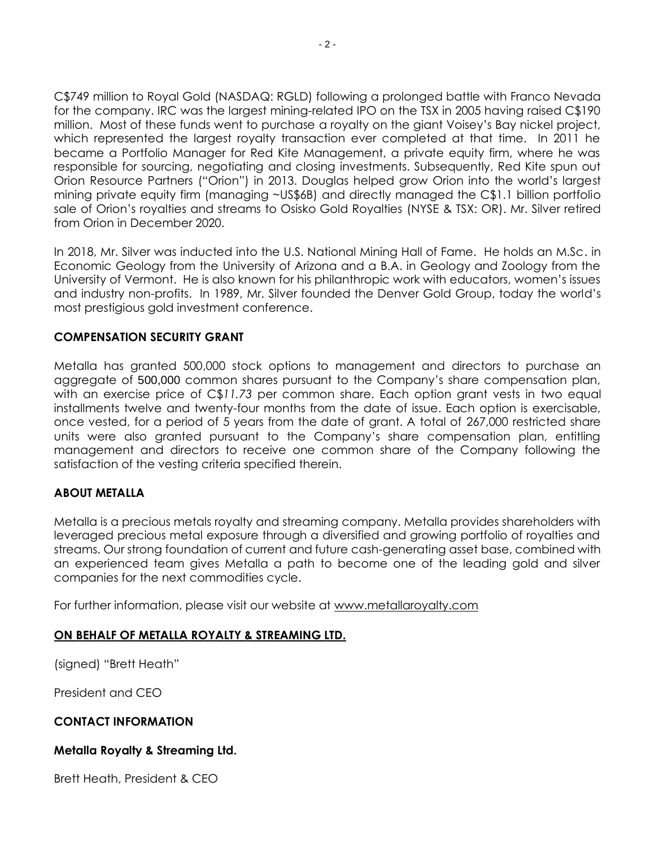C\$749 million to Royal Gold (NASDAQ: RGLD) following a prolonged battle with Franco Nevada for the company. IRC was the largest mining-related IPO on the TSX in 2005 having raised C\$190 million. Most of these funds went to purchase a royalty on the giant Voisey's Bay nickel project, which represented the largest royalty transaction ever completed at that time. In 2011 he became a Portfolio Manager for Red Kite Management, a private equity firm, where he was responsible for sourcing, negotiating and closing investments. Subsequently, Red Kite spun out Orion Resource Partners ("Orion") in 2013. Douglas helped grow Orion into the world's largest mining private equity firm (managing ~US\$6B) and directly managed the C\$1.1 billion portfolio sale of Orion's royalties and streams to Osisko Gold Royalties (NYSE & TSX: OR). Mr. Silver retired from Orion in December 2020.

In 2018, Mr. Silver was inducted into the U.S. National Mining Hall of Fame. He holds an M.Sc. in Economic Geology from the University of Arizona and a B.A. in Geology and Zoology from the University of Vermont. He is also known for his philanthropic work with educators, women's issues and industry non-profits. In 1989, Mr. Silver founded the Denver Gold Group, today the world's most prestigious gold investment conference.

## **COMPENSATION SECURITY GRANT**

Metalla has granted 500,000 stock options to management and directors to purchase an aggregate of 500,000 common shares pursuant to the Company's share compensation plan, with an exercise price of C\$*11.73* per common share. Each option grant vests in two equal installments twelve and twenty-four months from the date of issue. Each option is exercisable, once vested, for a period of 5 years from the date of grant. A total of 267,000 restricted share units were also granted pursuant to the Company's share compensation plan, entitling management and directors to receive one common share of the Company following the satisfaction of the vesting criteria specified therein.

# **ABOUT METALLA**

Metalla is a precious metals royalty and streaming company. Metalla provides shareholders with leveraged precious metal exposure through a diversified and growing portfolio of royalties and streams. Our strong foundation of current and future cash-generating asset base, combined with an experienced team gives Metalla a path to become one of the leading gold and silver companies for the next commodities cycle.

For further information, please visit our website at [www.metallaroyalty.com](http://www.metallaroyalty.com/)

# **ON BEHALF OF METALLA ROYALTY & STREAMING LTD.**

(signed) "Brett Heath"

President and CEO

#### **CONTACT INFORMATION**

#### **Metalla Royalty & Streaming Ltd.**

Brett Heath, President & CEO